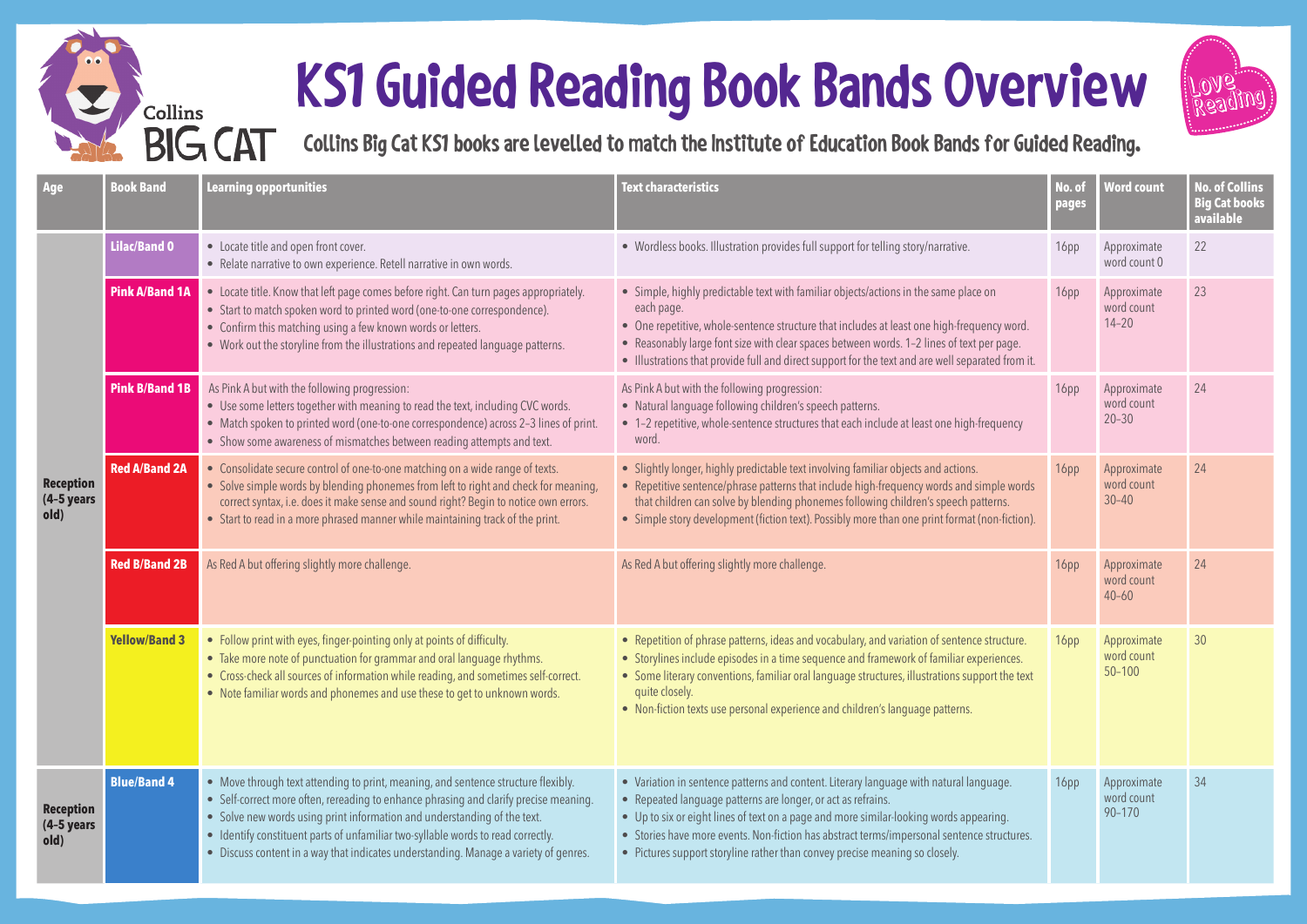## **KS1 Guided Reading Book Bands Overview**

**Collins** 

**BIG CAT** 



**Collins Big Cat KS1 books are levelled to match the Institute of Education Book Bands for Guided Reading.**

| Age                                       | <b>Book Band</b>      | Learning opportunities                                                                                                                                                                                                                                                                                                                                                                                                             | <b>Text characteristics</b>                                                                                                                                                                                                                                                                                                                                                                                                   | No. of<br>pages  | <b>Word count</b>                       | <b>No. of Collins</b><br><b>Big Cat books</b><br>available |
|-------------------------------------------|-----------------------|------------------------------------------------------------------------------------------------------------------------------------------------------------------------------------------------------------------------------------------------------------------------------------------------------------------------------------------------------------------------------------------------------------------------------------|-------------------------------------------------------------------------------------------------------------------------------------------------------------------------------------------------------------------------------------------------------------------------------------------------------------------------------------------------------------------------------------------------------------------------------|------------------|-----------------------------------------|------------------------------------------------------------|
|                                           | Lilac/Band 0          | • Locate title and open front cover.<br>• Relate narrative to own experience. Retell narrative in own words.                                                                                                                                                                                                                                                                                                                       | • Wordless books. Illustration provides full support for telling story/narrative.                                                                                                                                                                                                                                                                                                                                             | 16pp             | Approximate<br>word count 0             | 22                                                         |
| <b>Reception</b><br>$(4-5)$ years<br>old) | Pink A/Band 1A        | • Locate title. Know that left page comes before right. Can turn pages appropriately.<br>• Start to match spoken word to printed word (one-to-one correspondence).<br>• Confirm this matching using a few known words or letters.<br>• Work out the storyline from the illustrations and repeated language patterns.                                                                                                               | • Simple, highly predictable text with familiar objects/actions in the same place on<br>each page.<br>• One repetitive, whole-sentence structure that includes at least one high-frequency word.<br>• Reasonably large font size with clear spaces between words. 1-2 lines of text per page.<br>• Illustrations that provide full and direct support for the text and are well separated from it.                            |                  | Approximate<br>word count<br>$14 - 20$  | 23                                                         |
|                                           | <b>Pink B/Band 1B</b> | As Pink A but with the following progression:<br>• Use some letters together with meaning to read the text, including CVC words.<br>• Match spoken to printed word (one-to-one correspondence) across 2-3 lines of print.<br>• Show some awareness of mismatches between reading attempts and text.                                                                                                                                | As Pink A but with the following progression:<br>• Natural language following children's speech patterns.<br>• 1-2 repetitive, whole-sentence structures that each include at least one high-frequency<br>word.                                                                                                                                                                                                               | 16pp             | Approximate<br>word count<br>$20 - 30$  | 24                                                         |
|                                           | <b>Red A/Band 2A</b>  | • Consolidate secure control of one-to-one matching on a wide range of texts.<br>• Solve simple words by blending phonemes from left to right and check for meaning,<br>correct syntax, i.e. does it make sense and sound right? Begin to notice own errors.<br>• Start to read in a more phrased manner while maintaining track of the print.                                                                                     | • Slightly longer, highly predictable text involving familiar objects and actions.<br>• Repetitive sentence/phrase patterns that include high-frequency words and simple words<br>that children can solve by blending phonemes following children's speech patterns.<br>• Simple story development (fiction text). Possibly more than one print format (non-fiction).                                                         | 16 <sub>pp</sub> | Approximate<br>word count<br>$30 - 40$  | 24                                                         |
|                                           | <b>Red B/Band 2B</b>  | As Red A but offering slightly more challenge.                                                                                                                                                                                                                                                                                                                                                                                     | As Red A but offering slightly more challenge.                                                                                                                                                                                                                                                                                                                                                                                | 16 <sub>pp</sub> | Approximate<br>word count<br>$40 - 60$  | 24                                                         |
|                                           | <b>Yellow/Band 3</b>  | • Follow print with eyes, finger-pointing only at points of difficulty.<br>• Take more note of punctuation for grammar and oral language rhythms.<br>• Cross-check all sources of information while reading, and sometimes self-correct.<br>• Note familiar words and phonemes and use these to get to unknown words.                                                                                                              | • Repetition of phrase patterns, ideas and vocabulary, and variation of sentence structure.<br>• Storylines include episodes in a time sequence and framework of familiar experiences.<br>• Some literary conventions, familiar oral language structures, illustrations support the text<br>quite closely.<br>• Non-fiction texts use personal experience and children's language patterns.                                   | 16pp             | Approximate<br>word count<br>$50 - 100$ | 30 <sup>°</sup>                                            |
| <b>Reception</b><br>$(4-5$ years<br>old)  | <b>Blue/Band 4</b>    | • Move through text attending to print, meaning, and sentence structure flexibly.<br>• Self-correct more often, rereading to enhance phrasing and clarify precise meaning.<br>• Solve new words using print information and understanding of the text.<br>• Identify constituent parts of unfamiliar two-syllable words to read correctly.<br>• Discuss content in a way that indicates understanding. Manage a variety of genres. | • Variation in sentence patterns and content. Literary language with natural language.<br>• Repeated language patterns are longer, or act as refrains.<br>• Up to six or eight lines of text on a page and more similar-looking words appearing.<br>• Stories have more events. Non-fiction has abstract terms/impersonal sentence structures.<br>• Pictures support storyline rather than convey precise meaning so closely. | 16 <sub>pp</sub> | Approximate<br>word count<br>$90 - 170$ | 34                                                         |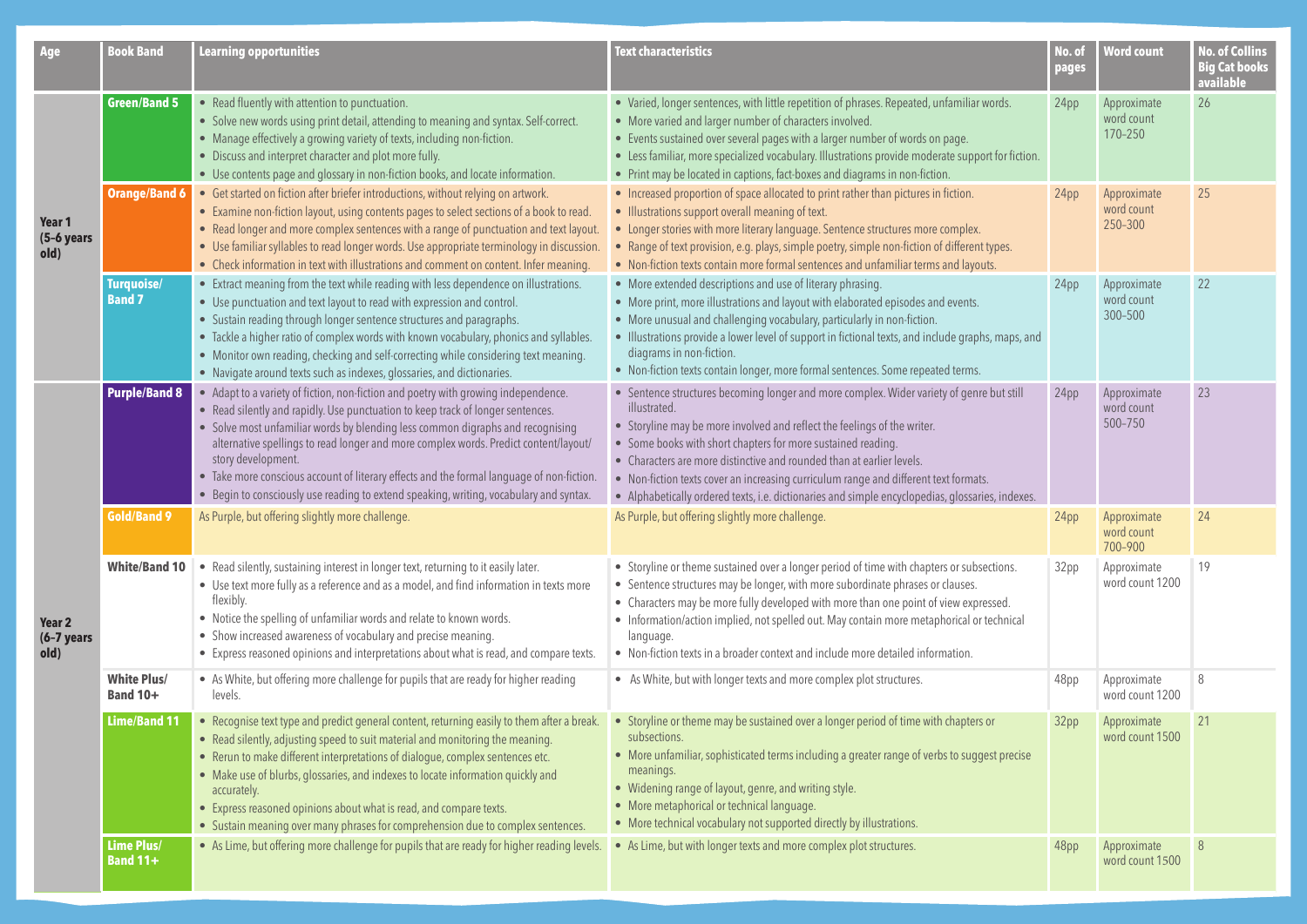| Age                             | <b>Book Band</b>                      | <b>Learning opportunities</b>                                                                                                                                                                                                                                                                                                                                                                                                                                                                                                                              | <b>Text characteristics</b>                                                                                                                                                                                                                                                                                                                                                                                                                                                                                               |      | <b>Word count</b>                    | <b>No. of Collins</b><br><b>Big Cat books</b><br>available |
|---------------------------------|---------------------------------------|------------------------------------------------------------------------------------------------------------------------------------------------------------------------------------------------------------------------------------------------------------------------------------------------------------------------------------------------------------------------------------------------------------------------------------------------------------------------------------------------------------------------------------------------------------|---------------------------------------------------------------------------------------------------------------------------------------------------------------------------------------------------------------------------------------------------------------------------------------------------------------------------------------------------------------------------------------------------------------------------------------------------------------------------------------------------------------------------|------|--------------------------------------|------------------------------------------------------------|
|                                 | <b>Green/Band 5</b>                   | • Read fluently with attention to punctuation.<br>• Solve new words using print detail, attending to meaning and syntax. Self-correct.<br>• Manage effectively a growing variety of texts, including non-fiction.<br>• Discuss and interpret character and plot more fully.<br>• Use contents page and glossary in non-fiction books, and locate information.                                                                                                                                                                                              | • Varied, longer sentences, with little repetition of phrases. Repeated, unfamiliar words.<br>• More varied and larger number of characters involved.<br>• Events sustained over several pages with a larger number of words on page.<br>• Less familiar, more specialized vocabulary. Illustrations provide moderate support for fiction.<br>• Print may be located in captions, fact-boxes and diagrams in non-fiction.                                                                                                 | 24pp | Approximate<br>word count<br>170-250 | 26                                                         |
| Year 1<br>$(5-6$ years<br>old)  | <b>Orange/Band 6</b>                  | • Get started on fiction after briefer introductions, without relying on artwork.<br>• Examine non-fiction layout, using contents pages to select sections of a book to read.<br>• Read longer and more complex sentences with a range of punctuation and text layout.<br>• Use familiar syllables to read longer words. Use appropriate terminology in discussion.<br>• Check information in text with illustrations and comment on content. Infer meaning.                                                                                               | • Increased proportion of space allocated to print rather than pictures in fiction.<br>• Illustrations support overall meaning of text.<br>• Longer stories with more literary language. Sentence structures more complex.<br>• Range of text provision, e.g. plays, simple poetry, simple non-fiction of different types.<br>• Non-fiction texts contain more formal sentences and unfamiliar terms and layouts.                                                                                                         | 24pp | Approximate<br>word count<br>250-300 | 25                                                         |
|                                 | Turquoise/<br><b>Band 7</b>           | • Extract meaning from the text while reading with less dependence on illustrations.<br>• Use punctuation and text layout to read with expression and control.<br>• Sustain reading through longer sentence structures and paragraphs.<br>• Tackle a higher ratio of complex words with known vocabulary, phonics and syllables.<br>• Monitor own reading, checking and self-correcting while considering text meaning.<br>• Navigate around texts such as indexes, glossaries, and dictionaries.                                                          | • More extended descriptions and use of literary phrasing.<br>• More print, more illustrations and layout with elaborated episodes and events.<br>• More unusual and challenging vocabulary, particularly in non-fiction.<br>• Illustrations provide a lower level of support in fictional texts, and include graphs, maps, and<br>diagrams in non-fiction.<br>• Non-fiction texts contain longer, more formal sentences. Some repeated terms.                                                                            | 24pp | Approximate<br>word count<br>300-500 | 22                                                         |
| Year 2<br>$(6-7)$ years<br>old) | <b>Purple/Band 8</b>                  | • Adapt to a variety of fiction, non-fiction and poetry with growing independence.<br>• Read silently and rapidly. Use punctuation to keep track of longer sentences.<br>Solve most unfamiliar words by blending less common digraphs and recognising<br>alternative spellings to read longer and more complex words. Predict content/layout/<br>story development.<br>• Take more conscious account of literary effects and the formal language of non-fiction.<br>• Begin to consciously use reading to extend speaking, writing, vocabulary and syntax. | • Sentence structures becoming longer and more complex. Wider variety of genre but still<br>illustrated.<br>• Storyline may be more involved and reflect the feelings of the writer.<br>• Some books with short chapters for more sustained reading.<br>• Characters are more distinctive and rounded than at earlier levels.<br>• Non-fiction texts cover an increasing curriculum range and different text formats.<br>• Alphabetically ordered texts, i.e. dictionaries and simple encyclopedias, glossaries, indexes. | 24pp | Approximate<br>word count<br>500-750 | 23                                                         |
|                                 | <b>Gold/Band 9</b>                    | As Purple, but offering slightly more challenge.                                                                                                                                                                                                                                                                                                                                                                                                                                                                                                           | As Purple, but offering slightly more challenge.                                                                                                                                                                                                                                                                                                                                                                                                                                                                          | 24pp | Approximate<br>word count<br>700-900 | 24                                                         |
|                                 | White/Band 10                         | • Read silently, sustaining interest in longer text, returning to it easily later.<br>• Use text more fully as a reference and as a model, and find information in texts more<br>flexibly.<br>• Notice the spelling of unfamiliar words and relate to known words.<br>• Show increased awareness of vocabulary and precise meaning.<br>• Express reasoned opinions and interpretations about what is read, and compare texts.                                                                                                                              | • Storyline or theme sustained over a longer period of time with chapters or subsections.<br>• Sentence structures may be longer, with more subordinate phrases or clauses.<br>• Characters may be more fully developed with more than one point of view expressed.<br>• Information/action implied, not spelled out. May contain more metaphorical or technical<br>language.<br>• Non-fiction texts in a broader context and include more detailed information.                                                          | 32pp | Approximate<br>word count 1200       | 19                                                         |
|                                 | <b>White Plus/</b><br><b>Band 10+</b> | • As White, but offering more challenge for pupils that are ready for higher reading<br>levels.                                                                                                                                                                                                                                                                                                                                                                                                                                                            | • As White, but with longer texts and more complex plot structures.                                                                                                                                                                                                                                                                                                                                                                                                                                                       | 48pp | Approximate<br>word count 1200       | 8                                                          |
|                                 | <b>Lime/Band 11</b>                   | • Recognise text type and predict general content, returning easily to them after a break.<br>• Read silently, adjusting speed to suit material and monitoring the meaning.<br>• Rerun to make different interpretations of dialogue, complex sentences etc.<br>• Make use of blurbs, glossaries, and indexes to locate information quickly and<br>accurately.<br>• Express reasoned opinions about what is read, and compare texts.<br>• Sustain meaning over many phrases for comprehension due to complex sentences.                                    | • Storyline or theme may be sustained over a longer period of time with chapters or<br>subsections.<br>• More unfamiliar, sophisticated terms including a greater range of verbs to suggest precise<br>meanings.<br>• Widening range of layout, genre, and writing style.<br>• More metaphorical or technical language.<br>• More technical vocabulary not supported directly by illustrations.                                                                                                                           | 32pp | Approximate<br>word count 1500       | 21                                                         |
|                                 | Lime Plus/<br><b>Band 11+</b>         | • As Lime, but offering more challenge for pupils that are ready for higher reading levels.                                                                                                                                                                                                                                                                                                                                                                                                                                                                | • As Lime, but with longer texts and more complex plot structures.                                                                                                                                                                                                                                                                                                                                                                                                                                                        | 48pp | Approximate<br>word count 1500       | 8                                                          |